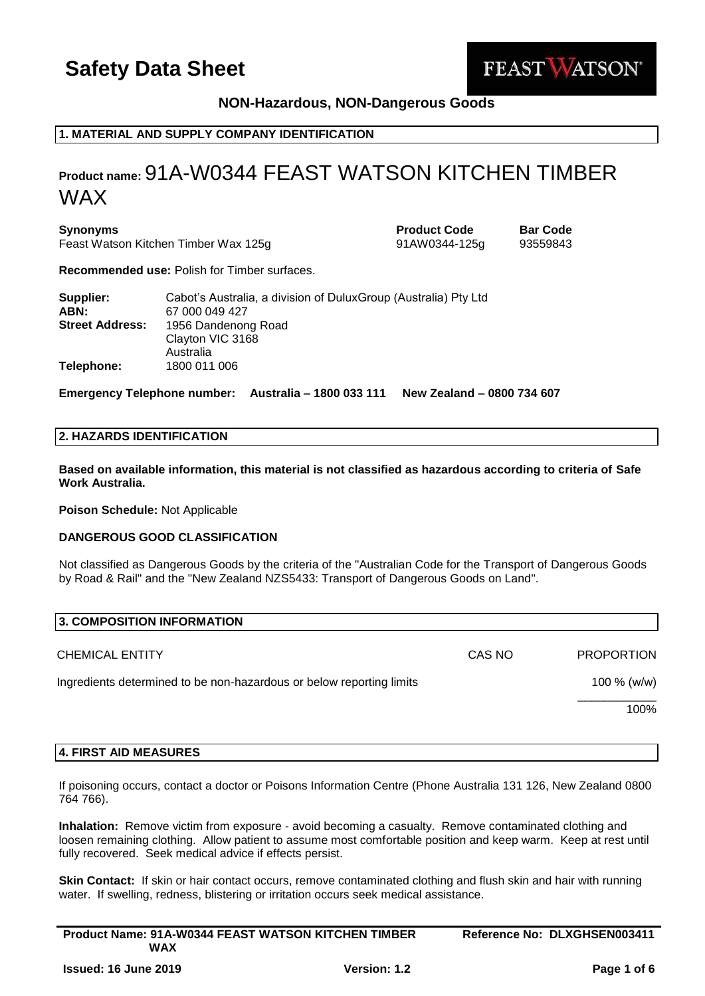

## **NON-Hazardous, NON-Dangerous Goods**

## **1. MATERIAL AND SUPPLY COMPANY IDENTIFICATION**

## **Product name:** 91A-W0344 FEAST WATSON KITCHEN TIMBER WAX

**Synonyms Product Code Bar Code** Feast Watson Kitchen Timber Wax 125g 91AW0344-125g 93559843

**Recommended use:** Polish for Timber surfaces.

| Supplier:<br>ABN:      | Cabot's Australia, a division of DuluxGroup (Australia) Pty Ltd<br>67 000 049 427 |
|------------------------|-----------------------------------------------------------------------------------|
| <b>Street Address:</b> | 1956 Dandenong Road                                                               |
|                        | Clayton VIC 3168<br>Australia                                                     |
| Telephone:             | 1800 011 006                                                                      |

**Emergency Telephone number: Australia – 1800 033 111 New Zealand – 0800 734 607**

## **2. HAZARDS IDENTIFICATION**

**Based on available information, this material is not classified as hazardous according to criteria of Safe Work Australia.**

**Poison Schedule:** Not Applicable

### **DANGEROUS GOOD CLASSIFICATION**

Not classified as Dangerous Goods by the criteria of the "Australian Code for the Transport of Dangerous Goods by Road & Rail" and the "New Zealand NZS5433: Transport of Dangerous Goods on Land".

| CAS NO | <b>PROPORTION</b> |
|--------|-------------------|
|        | 100 $% (w/w)$     |
|        | 100%              |
|        |                   |

#### **4. FIRST AID MEASURES**

If poisoning occurs, contact a doctor or Poisons Information Centre (Phone Australia 131 126, New Zealand 0800 764 766).

**Inhalation:** Remove victim from exposure - avoid becoming a casualty. Remove contaminated clothing and loosen remaining clothing. Allow patient to assume most comfortable position and keep warm. Keep at rest until fully recovered. Seek medical advice if effects persist.

**Skin Contact:** If skin or hair contact occurs, remove contaminated clothing and flush skin and hair with running water. If swelling, redness, blistering or irritation occurs seek medical assistance.

| <b>Product Name: 91A-W0344 FEAST WATSON KITCHEN TIMBER</b> |                     | Reference No: DLXGHSEN003411 |  |
|------------------------------------------------------------|---------------------|------------------------------|--|
| WAX                                                        |                     |                              |  |
| <b>Issued: 16 June 2019</b>                                | <b>Version: 1.2</b> | Page 1 of 6                  |  |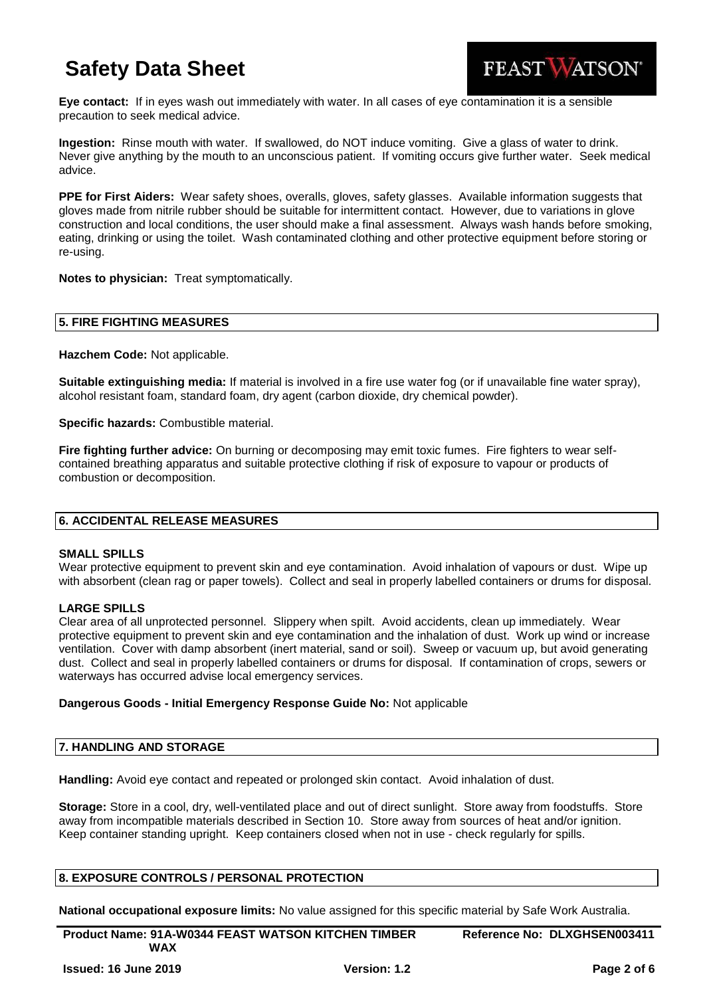

**Eye contact:** If in eyes wash out immediately with water. In all cases of eye contamination it is a sensible precaution to seek medical advice.

**Ingestion:** Rinse mouth with water. If swallowed, do NOT induce vomiting. Give a glass of water to drink. Never give anything by the mouth to an unconscious patient. If vomiting occurs give further water. Seek medical advice.

**PPE for First Aiders:** Wear safety shoes, overalls, gloves, safety glasses. Available information suggests that gloves made from nitrile rubber should be suitable for intermittent contact. However, due to variations in glove construction and local conditions, the user should make a final assessment. Always wash hands before smoking, eating, drinking or using the toilet. Wash contaminated clothing and other protective equipment before storing or re-using.

**Notes to physician:** Treat symptomatically.

### **5. FIRE FIGHTING MEASURES**

**Hazchem Code:** Not applicable.

**Suitable extinguishing media:** If material is involved in a fire use water fog (or if unavailable fine water spray), alcohol resistant foam, standard foam, dry agent (carbon dioxide, dry chemical powder).

**Specific hazards:** Combustible material.

**Fire fighting further advice:** On burning or decomposing may emit toxic fumes. Fire fighters to wear selfcontained breathing apparatus and suitable protective clothing if risk of exposure to vapour or products of combustion or decomposition.

## **6. ACCIDENTAL RELEASE MEASURES**

#### **SMALL SPILLS**

Wear protective equipment to prevent skin and eye contamination. Avoid inhalation of vapours or dust. Wipe up with absorbent (clean rag or paper towels). Collect and seal in properly labelled containers or drums for disposal.

#### **LARGE SPILLS**

Clear area of all unprotected personnel. Slippery when spilt. Avoid accidents, clean up immediately. Wear protective equipment to prevent skin and eye contamination and the inhalation of dust. Work up wind or increase ventilation. Cover with damp absorbent (inert material, sand or soil). Sweep or vacuum up, but avoid generating dust. Collect and seal in properly labelled containers or drums for disposal. If contamination of crops, sewers or waterways has occurred advise local emergency services.

#### **Dangerous Goods - Initial Emergency Response Guide No:** Not applicable

#### **7. HANDLING AND STORAGE**

**Handling:** Avoid eye contact and repeated or prolonged skin contact. Avoid inhalation of dust.

**Storage:** Store in a cool, dry, well-ventilated place and out of direct sunlight. Store away from foodstuffs. Store away from incompatible materials described in Section 10. Store away from sources of heat and/or ignition. Keep container standing upright. Keep containers closed when not in use - check regularly for spills.

### **8. EXPOSURE CONTROLS / PERSONAL PROTECTION**

**National occupational exposure limits:** No value assigned for this specific material by Safe Work Australia.

**Product Name: 91A-W0344 FEAST WATSON KITCHEN TIMBER WAX Reference No: DLXGHSEN003411**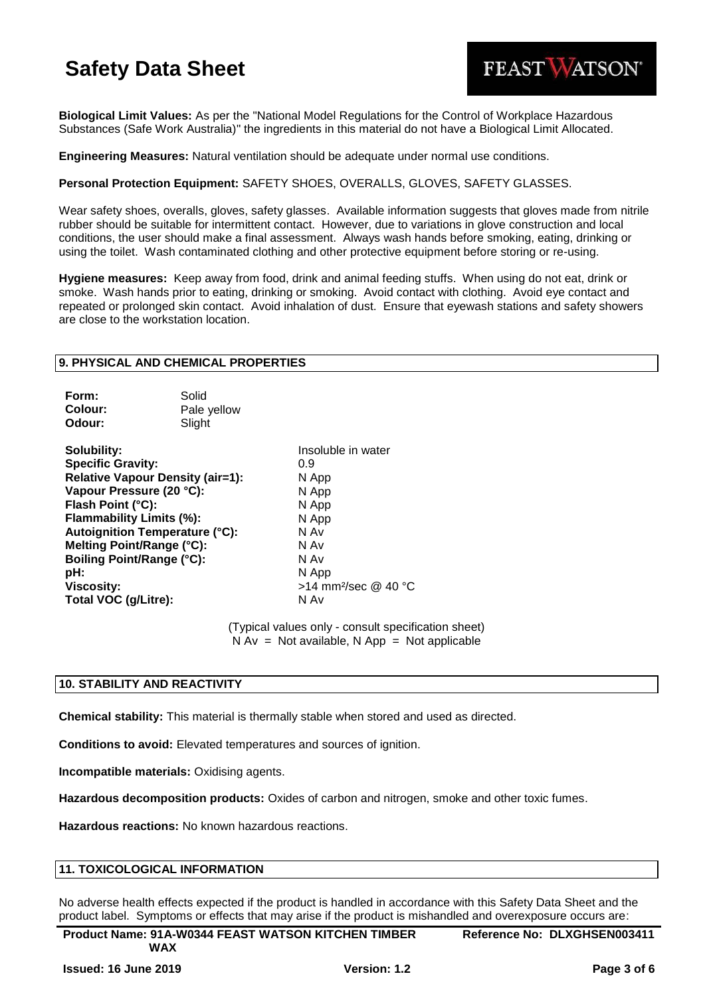

**Biological Limit Values:** As per the "National Model Regulations for the Control of Workplace Hazardous Substances (Safe Work Australia)" the ingredients in this material do not have a Biological Limit Allocated.

**Engineering Measures:** Natural ventilation should be adequate under normal use conditions.

### **Personal Protection Equipment:** SAFETY SHOES, OVERALLS, GLOVES, SAFETY GLASSES.

Wear safety shoes, overalls, gloves, safety glasses. Available information suggests that gloves made from nitrile rubber should be suitable for intermittent contact. However, due to variations in glove construction and local conditions, the user should make a final assessment. Always wash hands before smoking, eating, drinking or using the toilet. Wash contaminated clothing and other protective equipment before storing or re-using.

**Hygiene measures:** Keep away from food, drink and animal feeding stuffs. When using do not eat, drink or smoke. Wash hands prior to eating, drinking or smoking. Avoid contact with clothing. Avoid eye contact and repeated or prolonged skin contact. Avoid inhalation of dust. Ensure that eyewash stations and safety showers are close to the workstation location.

#### **9. PHYSICAL AND CHEMICAL PROPERTIES**

| Form:   | Solid       |
|---------|-------------|
| Colour: | Pale yellow |
| Odour:  | Slight      |

**Solubility:** Insoluble in water **Specific Gravity:** 0.9 **Relative Vapour Density (air=1):** N App **Vapour Pressure (20 °C):** N App **Flash Point (°C):** N App **Flammability Limits (%):** N App **Autoignition Temperature (°C):** N Av **Melting Point/Range (°C):** N Av **Boiling Point/Range (°C):** N Av **pH:** N App **Viscosity:**  $>14$  mm<sup>2</sup>/sec @ 40 °C **Total VOC (g/Litre):** N Av

(Typical values only - consult specification sheet)  $N Av = Not available, N App = Not applicable$ 

## **10. STABILITY AND REACTIVITY**

**Chemical stability:** This material is thermally stable when stored and used as directed.

**Conditions to avoid:** Elevated temperatures and sources of ignition.

**Incompatible materials:** Oxidising agents.

**Hazardous decomposition products:** Oxides of carbon and nitrogen, smoke and other toxic fumes.

**Hazardous reactions:** No known hazardous reactions.

#### **11. TOXICOLOGICAL INFORMATION**

No adverse health effects expected if the product is handled in accordance with this Safety Data Sheet and the product label. Symptoms or effects that may arise if the product is mishandled and overexposure occurs are:

**Product Name: 91A-W0344 FEAST WATSON KITCHEN TIMBER WAX Reference No: DLXGHSEN003411**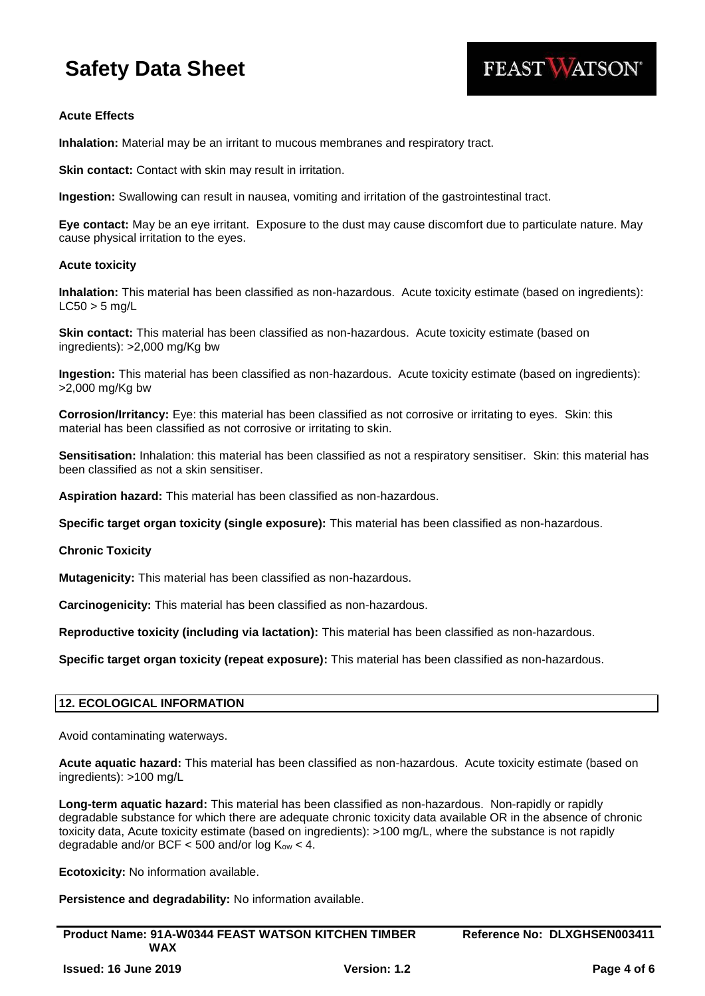

### **Acute Effects**

**Inhalation:** Material may be an irritant to mucous membranes and respiratory tract.

**Skin contact:** Contact with skin may result in irritation.

**Ingestion:** Swallowing can result in nausea, vomiting and irritation of the gastrointestinal tract.

**Eye contact:** May be an eye irritant. Exposure to the dust may cause discomfort due to particulate nature. May cause physical irritation to the eyes.

#### **Acute toxicity**

**Inhalation:** This material has been classified as non-hazardous. Acute toxicity estimate (based on ingredients):  $LC50 > 5$  ma/L

**Skin contact:** This material has been classified as non-hazardous. Acute toxicity estimate (based on ingredients): >2,000 mg/Kg bw

**Ingestion:** This material has been classified as non-hazardous. Acute toxicity estimate (based on ingredients): >2,000 mg/Kg bw

**Corrosion/Irritancy:** Eye: this material has been classified as not corrosive or irritating to eyes. Skin: this material has been classified as not corrosive or irritating to skin.

**Sensitisation:** Inhalation: this material has been classified as not a respiratory sensitiser. Skin: this material has been classified as not a skin sensitiser.

**Aspiration hazard:** This material has been classified as non-hazardous.

**Specific target organ toxicity (single exposure):** This material has been classified as non-hazardous.

**Chronic Toxicity**

**Mutagenicity:** This material has been classified as non-hazardous.

**Carcinogenicity:** This material has been classified as non-hazardous.

**Reproductive toxicity (including via lactation):** This material has been classified as non-hazardous.

**Specific target organ toxicity (repeat exposure):** This material has been classified as non-hazardous.

#### **12. ECOLOGICAL INFORMATION**

Avoid contaminating waterways.

**Acute aquatic hazard:** This material has been classified as non-hazardous. Acute toxicity estimate (based on ingredients): >100 mg/L

**Long-term aquatic hazard:** This material has been classified as non-hazardous. Non-rapidly or rapidly degradable substance for which there are adequate chronic toxicity data available OR in the absence of chronic toxicity data, Acute toxicity estimate (based on ingredients): >100 mg/L, where the substance is not rapidly degradable and/or BCF  $<$  500 and/or log K<sub>ow</sub>  $<$  4.

**Ecotoxicity:** No information available.

**Persistence and degradability:** No information available.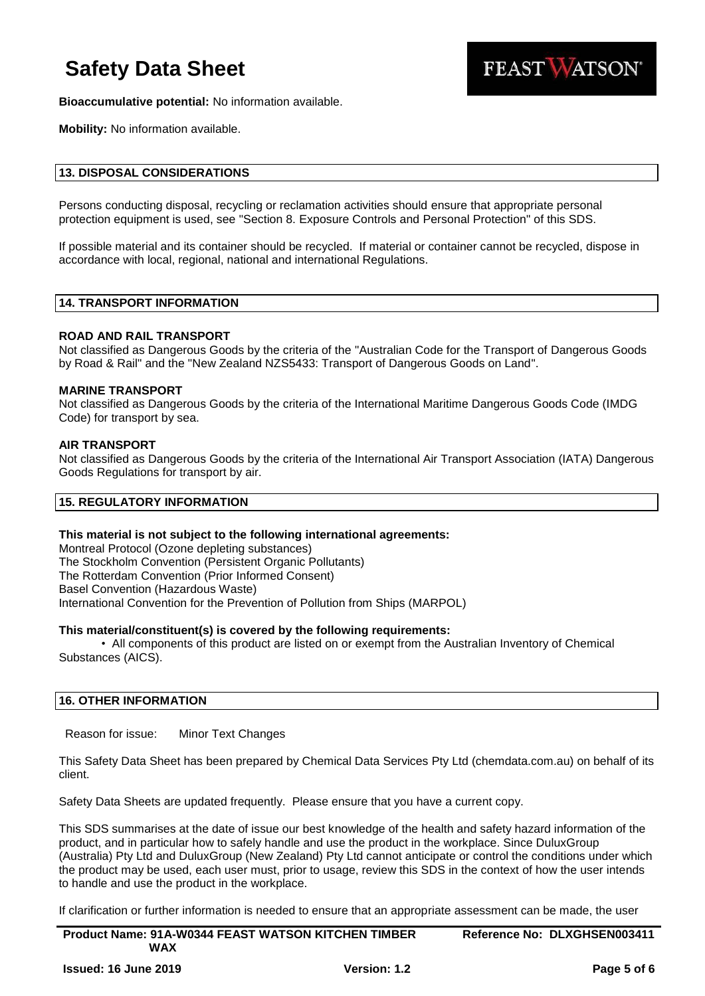

**Bioaccumulative potential:** No information available.

**Mobility:** No information available.

#### **13. DISPOSAL CONSIDERATIONS**

Persons conducting disposal, recycling or reclamation activities should ensure that appropriate personal protection equipment is used, see "Section 8. Exposure Controls and Personal Protection" of this SDS.

If possible material and its container should be recycled. If material or container cannot be recycled, dispose in accordance with local, regional, national and international Regulations.

## **14. TRANSPORT INFORMATION**

#### **ROAD AND RAIL TRANSPORT**

Not classified as Dangerous Goods by the criteria of the "Australian Code for the Transport of Dangerous Goods by Road & Rail" and the "New Zealand NZS5433: Transport of Dangerous Goods on Land".

#### **MARINE TRANSPORT**

Not classified as Dangerous Goods by the criteria of the International Maritime Dangerous Goods Code (IMDG Code) for transport by sea.

#### **AIR TRANSPORT**

Not classified as Dangerous Goods by the criteria of the International Air Transport Association (IATA) Dangerous Goods Regulations for transport by air.

## **15. REGULATORY INFORMATION**

#### **This material is not subject to the following international agreements:**

Montreal Protocol (Ozone depleting substances) The Stockholm Convention (Persistent Organic Pollutants) The Rotterdam Convention (Prior Informed Consent) Basel Convention (Hazardous Waste) International Convention for the Prevention of Pollution from Ships (MARPOL)

#### **This material/constituent(s) is covered by the following requirements:**

• All components of this product are listed on or exempt from the Australian Inventory of Chemical Substances (AICS).

#### **16. OTHER INFORMATION**

Reason for issue: Minor Text Changes

This Safety Data Sheet has been prepared by Chemical Data Services Pty Ltd (chemdata.com.au) on behalf of its client.

Safety Data Sheets are updated frequently. Please ensure that you have a current copy.

This SDS summarises at the date of issue our best knowledge of the health and safety hazard information of the product, and in particular how to safely handle and use the product in the workplace. Since DuluxGroup (Australia) Pty Ltd and DuluxGroup (New Zealand) Pty Ltd cannot anticipate or control the conditions under which the product may be used, each user must, prior to usage, review this SDS in the context of how the user intends to handle and use the product in the workplace.

If clarification or further information is needed to ensure that an appropriate assessment can be made, the user

| <b>Product Name: 91A-W0344 FEAST WATSON KITCHEN TIMBER</b> |                     | Reference No: DLXGHSEN003411 |  |
|------------------------------------------------------------|---------------------|------------------------------|--|
| WAX                                                        |                     |                              |  |
| <b>Issued: 16 June 2019</b>                                | <b>Version: 1.2</b> | Page 5 of 6                  |  |